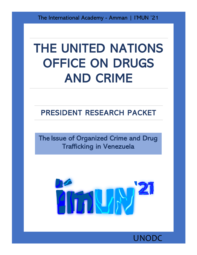The International Academy - Amman | I'MUN '21

# THE UNITED NATIONS OFFICE ON DRUGS AND CRIME

## PRESIDENT RESEARCH PACKET

The Issue of Organized Crime and Drug Trafficking in Venezuela



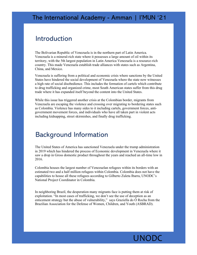#### Introduction

The Bolivarian Republic of Venezuela is in the northern part of Latin America. Venezuela is a mineral-rich state where it possesses a large amount of oil within its territory, with the 5th largest population in Latin America Venezuela is a resource-rich country. This made Venezuela establish trade alliances with states such as Argentina, China, and Mexico.

Venezuela is suffering from a political and economic crisis where sanctions by the United States have hindered the social development of Venezuela where the state now witnesses a high rate of social disobedience. This includes the formation of cartels which contribute to drug trafficking and organized crime, most South American states suffer from this drug trade where it has expanded itself beyond the content into the United States.

While this issue has triggered another crisis at the Colombian border, migrants from Venezuela are escaping the violence and crossing over migrating to bordering states such as Colombia. Violence has many sides to it including cartels, government forces, antigovernment movement forces, and individuals who have all taken part in violent acts including kidnapping, street skirmishes, and finally drug trafficking.

### Background Information

The United States of America has sanctioned Venezuela under the trump administration in 2019 which has hindered the process of Economic development in Venezuela where it saw a drop in Gross domestic product throughout the years and reached an all-time low in 2016.

Colombia houses the largest number of Venezuelan refugees within its borders with an estimated two and a half million refugees within Colombia. Colombia does not have the capabilities to house all these refugees according to Gilberto Zuleta Ibarra, UNODC's National Project Coordinator in Colombia.

In neighboring Brazil, the desperation many migrants face is putting them at risk of exploitation. "In most cases of trafficking, we don't see the use of deception as an enticement strategy but the abuse of vulnerability," says Graziella do Ó Rocha from the Brazilian Association for the Defense of Women, Children, and Youth (ASBRAD).

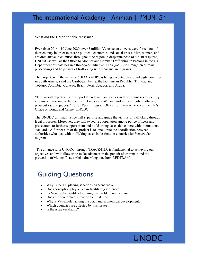#### The International Academy - Amman | I'MUN '21

#### **What did the UN do to solve the issue?**

Ever since 2014 - 10 June 2020, over 5 million Venezuelan citizens were forced out of their country in order to escape political, economic, and social crises. Men, women, and children arrive in countries throughout the region in desperate need of aid. In response, UNODC as well as the Office to Monitor and Combat Trafficking in Persons in the U.S. Department of State began a three-year initiative. Their goal is to strengthen criminal proceedings and help cases of trafficking with Venezuelan migrants.

The project, with the name of 'TRACK4TIP', is being executed in around eight countries in South America and the Caribbean, being: the Dominican Republic, Trinidad and Tobago, Colombia, Curaçao, Brazil, Peru, Ecuador, and Aruba.

"The overall objective is to support the relevant authorities in these countries to identify victims and respond to human trafficking cases. We are working with police officers, prosecutors, and judges," Carlos Perez, Program Officer for Latin America at the UN's Office on Drugs and Crime (UNODC).

The UNODC criminal justice will supervise and guide the victims of trafficking through legal processes. Moreover, they will expedite cooperation among police officers and prosecutors to further support them and build strong cases that cohere with international standards. A further aim of the project is to ameliorate the coordination between authorities who deal with trafficking cases in destination countries for Venezuelan migrants.

"The alliance with UNODC, through TRACK4TIP, is fundamental to achieving our objectives and will allow us to make advances in the pursuit of criminals and the protection of victims," says Alejandra Mangano, from REDTRAM.

#### Guiding Questions

- Why is the US placing sanctions on Venezuela?
- Does corruption play a role in facilitating violence?
- Is Venezuela capable of solving this problem on its own?
- Does the economical situation facilitate this?
- Why is Venezuela lacking in social and economical development?
- Which countries are affected by this issue?
- Is the issue escalating?